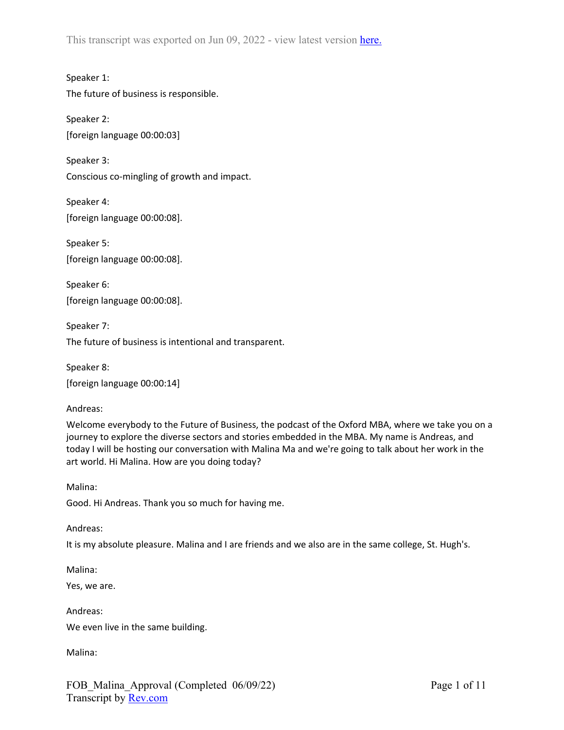This transcript was exported on Jun 09, 2022 - view latest version [here.](https://www.rev.com/transcript-editor/Edit?token=P6YoKEv0-2Rk9hzEM1cFUbGO8HVv3xV5EpjWaJPDgRTxm7AoA74ZxeuwhcLp0HeJPhM63pj65oV27an8-qfPwpE6hR4&loadFrom=DocumentHeaderDeepLink)

Speaker 1: The future of business is responsible.

Speaker 2: [foreign language 00:00:03]

Speaker 3: Conscious co-mingling of growth and impact.

Speaker 4: [foreign language 00:00:08].

Speaker 5: [foreign language 00:00:08].

Speaker 6: [foreign language 00:00:08].

Speaker 7: The future of business is intentional and transparent.

Speaker 8: [foreign language 00:00:14]

Andreas:

Welcome everybody to the Future of Business, the podcast of the Oxford MBA, where we take you on a journey to explore the diverse sectors and stories embedded in the MBA. My name is Andreas, and today I will be hosting our conversation with Malina Ma and we're going to talk about her work in the art world. Hi Malina. How are you doing today?

Malina: Good. Hi Andreas. Thank you so much for having me.

Andreas:

It is my absolute pleasure. Malina and I are friends and we also are in the same college, St. Hugh's.

Malina:

Yes, we are.

Andreas: We even live in the same building.

Malina: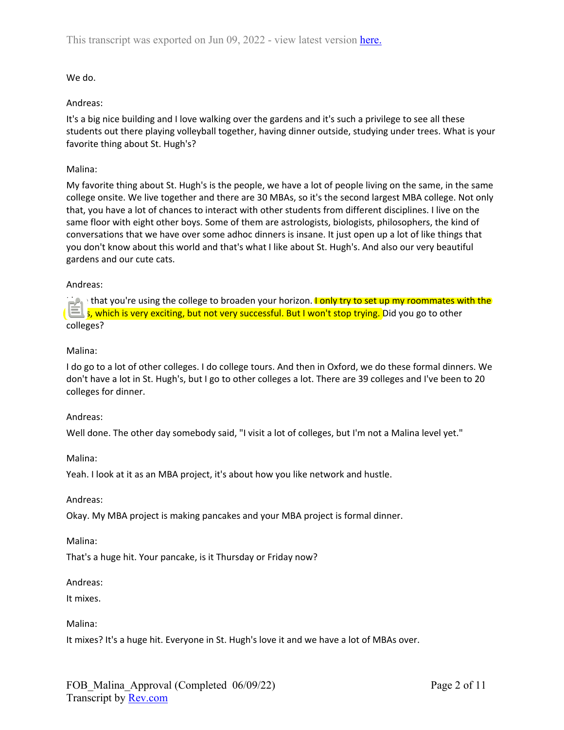## We do.

### Andreas:

It's a big nice building and I love walking over the gardens and it's such a privilege to see all these students out there playing volleyball together, having dinner outside, studying under trees. What is your favorite thing about St. Hugh's?

### Malina:

My favorite thing about St. Hugh's is the people, we have a lot of people living on the same, in the same college onsite. We live together and there are 30 MBAs, so it's the second largest MBA college. Not only that, you have a lot of chances to interact with other students from different disciplines. I live on the same floor with eight other boys. Some of them are astrologists, biologists, philosophers, the kind of conversations that we have over some adhoc dinners is insane. It just open up a lot of like things that you don't know about this world and that's what I like about St. Hugh's. And also our very beautiful gardens and our cute cats.

### Andreas:

I love that you're using the college to broaden your horizon. I only try to set up my roommates with the MBAs, which is very exciting, but not very successful. But I won't stop trying. Did you go to other colleges?

## Malina:

I do go to a lot of other colleges. I do college tours. And then in Oxford, we do these formal dinners. We don't have a lot in St. Hugh's, but I go to other colleges a lot. There are 39 colleges and I've been to 20 colleges for dinner.

### Andreas:

Well done. The other day somebody said, "I visit a lot of colleges, but I'm not a Malina level yet."

### Malina:

Yeah. I look at it as an MBA project, it's about how you like network and hustle.

### Andreas:

Okay. My MBA project is making pancakes and your MBA project is formal dinner.

### Malina:

That's a huge hit. Your pancake, is it Thursday or Friday now?

### Andreas:

It mixes.

## Malina:

It mixes? It's a huge hit. Everyone in St. Hugh's love it and we have a lot of MBAs over.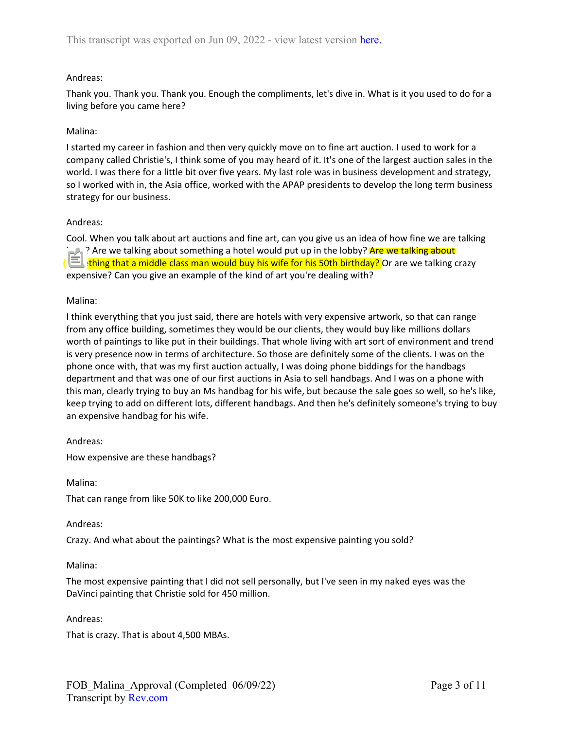## Andreas:

Thank you. Thank you. Thank you. Enough the compliments, let's dive in. What is it you used to do for a living before you came here?

## Malina:

I started my career in fashion and then very quickly move on to fine art auction. I used to work for a company called Christie's, I think some of you may heard of it. It's one of the largest auction sales in the world. I was there for a little bit over five years. My last role was in business development and strategy, so I worked with in, the Asia office, worked with the APAP presidents to develop the long term business strategy for our business.

## Andreas:

Cool. When you talk about art auctions and fine art, can you give us an idea of how fine we are talking here? Are we talking about something a hotel would put up in the lobby? Are we talking about something that a middle class man would buy his wife for his 50th birthday? Or are we talking crazy expensive? Can you give an example of the kind of art you're dealing with?

## Malina:

I think everything that you just said, there are hotels with very expensive artwork, so that can range from any office building, sometimes they would be our clients, they would buy like millions dollars worth of paintings to like put in their buildings. That whole living with art sort of environment and trend is very presence now in terms of architecture. So those are definitely some of the clients. I was on the phone once with, that was my first auction actually, I was doing phone biddings for the handbags department and that was one of our first auctions in Asia to sell handbags. And I was on a phone with this man, clearly trying to buy an Ms handbag for his wife, but because the sale goes so well, so he's like, keep trying to add on different lots, different handbags. And then he's definitely someone's trying to buy an expensive handbag for his wife.

## Andreas:

How expensive are these handbags?

Malina:

That can range from like 50K to like 200,000 Euro.

### Andreas:

Crazy. And what about the paintings? What is the most expensive painting you sold?

### Malina:

The most expensive painting that I did not sell personally, but I've seen in my naked eyes was the DaVinci painting that Christie sold for 450 million.

### Andreas:

That is crazy. That is about 4,500 MBAs.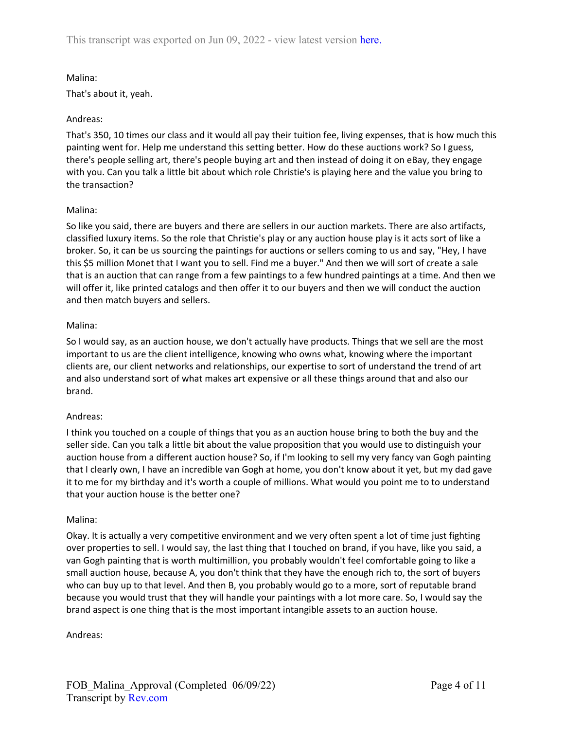## Malina:

That's about it, yeah.

## Andreas:

That's 350, 10 times our class and it would all pay their tuition fee, living expenses, that is how much this painting went for. Help me understand this setting better. How do these auctions work? So I guess, there's people selling art, there's people buying art and then instead of doing it on eBay, they engage with you. Can you talk a little bit about which role Christie's is playing here and the value you bring to the transaction?

## Malina:

So like you said, there are buyers and there are sellers in our auction markets. There are also artifacts, classified luxury items. So the role that Christie's play or any auction house play is it acts sort of like a broker. So, it can be us sourcing the paintings for auctions or sellers coming to us and say, "Hey, I have this \$5 million Monet that I want you to sell. Find me a buyer." And then we will sort of create a sale that is an auction that can range from a few paintings to a few hundred paintings at a time. And then we will offer it, like printed catalogs and then offer it to our buyers and then we will conduct the auction and then match buyers and sellers.

## Malina:

So I would say, as an auction house, we don't actually have products. Things that we sell are the most important to us are the client intelligence, knowing who owns what, knowing where the important clients are, our client networks and relationships, our expertise to sort of understand the trend of art and also understand sort of what makes art expensive or all these things around that and also our brand.

## Andreas:

I think you touched on a couple of things that you as an auction house bring to both the buy and the seller side. Can you talk a little bit about the value proposition that you would use to distinguish your auction house from a different auction house? So, if I'm looking to sell my very fancy van Gogh painting that I clearly own, I have an incredible van Gogh at home, you don't know about it yet, but my dad gave it to me for my birthday and it's worth a couple of millions. What would you point me to to understand that your auction house is the better one?

### Malina:

Okay. It is actually a very competitive environment and we very often spent a lot of time just fighting over properties to sell. I would say, the last thing that I touched on brand, if you have, like you said, a van Gogh painting that is worth multimillion, you probably wouldn't feel comfortable going to like a small auction house, because A, you don't think that they have the enough rich to, the sort of buyers who can buy up to that level. And then B, you probably would go to a more, sort of reputable brand because you would trust that they will handle your paintings with a lot more care. So, I would say the brand aspect is one thing that is the most important intangible assets to an auction house.

### Andreas: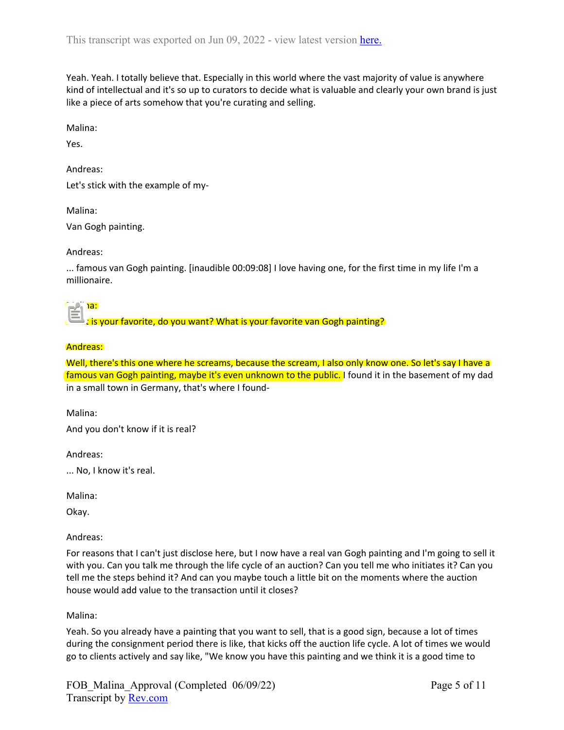Yeah. Yeah. I totally believe that. Especially in this world where the vast majority of value is anywhere kind of intellectual and it's so up to curators to decide what is valuable and clearly your own brand is just like a piece of arts somehow that you're curating and selling.

Malina:

Yes.

Andreas:

Let's stick with the example of my-

Malina:

Van Gogh painting.

## Andreas:

... famous van Gogh painting. [inaudible 00:09:08] I love having one, for the first time in my life I'm a millionaire.

Malina:

What is your favorite, do you want? What is your favorite van Gogh painting?

## Andreas:

Well, there's this one where he screams, because the scream, I also only know one. So let's say I have a famous van Gogh painting, maybe it's even unknown to the public. I found it in the basement of my dad in a small town in Germany, that's where I found-

Malina:

And you don't know if it is real?

Andreas:

... No, I know it's real.

Malina:

Okay.

Andreas:

For reasons that I can't just disclose here, but I now have a real van Gogh painting and I'm going to sell it with you. Can you talk me through the life cycle of an auction? Can you tell me who initiates it? Can you tell me the steps behind it? And can you maybe touch a little bit on the moments where the auction house would add value to the transaction until it closes?

## Malina:

Yeah. So you already have a painting that you want to sell, that is a good sign, because a lot of times during the consignment period there is like, that kicks off the auction life cycle. A lot of times we would go to clients actively and say like, "We know you have this painting and we think it is a good time to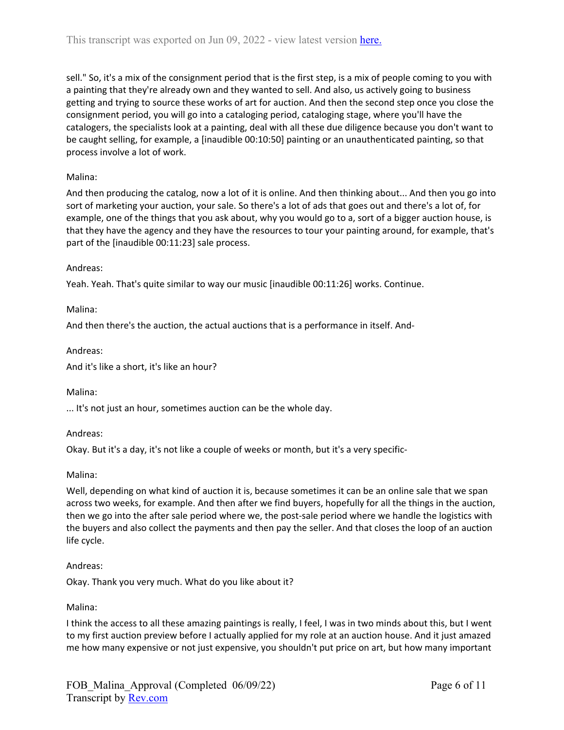sell." So, it's a mix of the consignment period that is the first step, is a mix of people coming to you with a painting that they're already own and they wanted to sell. And also, us actively going to business getting and trying to source these works of art for auction. And then the second step once you close the consignment period, you will go into a cataloging period, cataloging stage, where you'll have the catalogers, the specialists look at a painting, deal with all these due diligence because you don't want to be caught selling, for example, a [inaudible 00:10:50] painting or an unauthenticated painting, so that process involve a lot of work.

## Malina:

And then producing the catalog, now a lot of it is online. And then thinking about... And then you go into sort of marketing your auction, your sale. So there's a lot of ads that goes out and there's a lot of, for example, one of the things that you ask about, why you would go to a, sort of a bigger auction house, is that they have the agency and they have the resources to tour your painting around, for example, that's part of the [inaudible 00:11:23] sale process.

## Andreas:

Yeah. Yeah. That's quite similar to way our music [inaudible 00:11:26] works. Continue.

Malina:

And then there's the auction, the actual auctions that is a performance in itself. And-

## Andreas:

And it's like a short, it's like an hour?

### Malina:

... It's not just an hour, sometimes auction can be the whole day.

## Andreas:

Okay. But it's a day, it's not like a couple of weeks or month, but it's a very specific-

### Malina:

Well, depending on what kind of auction it is, because sometimes it can be an online sale that we span across two weeks, for example. And then after we find buyers, hopefully for all the things in the auction, then we go into the after sale period where we, the post-sale period where we handle the logistics with the buyers and also collect the payments and then pay the seller. And that closes the loop of an auction life cycle.

### Andreas:

Okay. Thank you very much. What do you like about it?

### Malina:

I think the access to all these amazing paintings is really, I feel, I was in two minds about this, but I went to my first auction preview before I actually applied for my role at an auction house. And it just amazed me how many expensive or not just expensive, you shouldn't put price on art, but how many important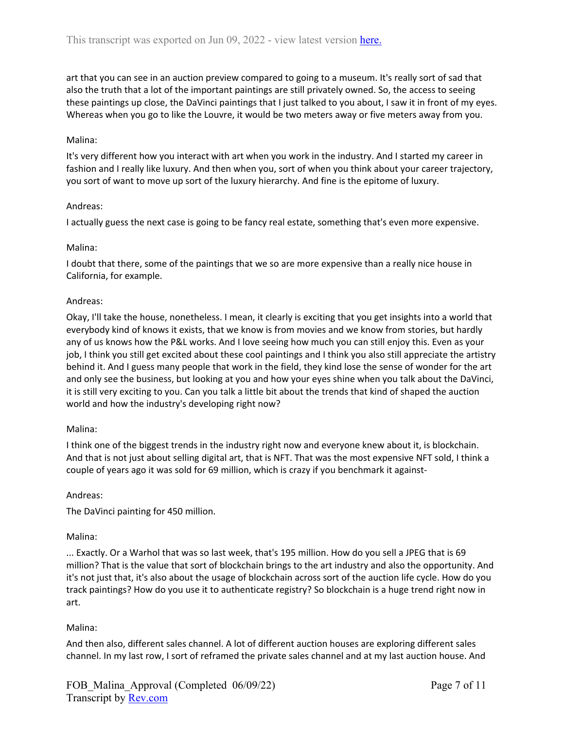art that you can see in an auction preview compared to going to a museum. It's really sort of sad that also the truth that a lot of the important paintings are still privately owned. So, the access to seeing these paintings up close, the DaVinci paintings that I just talked to you about, I saw it in front of my eyes. Whereas when you go to like the Louvre, it would be two meters away or five meters away from you.

## Malina:

It's very different how you interact with art when you work in the industry. And I started my career in fashion and I really like luxury. And then when you, sort of when you think about your career trajectory, you sort of want to move up sort of the luxury hierarchy. And fine is the epitome of luxury.

## Andreas:

I actually guess the next case is going to be fancy real estate, something that's even more expensive.

## Malina:

I doubt that there, some of the paintings that we so are more expensive than a really nice house in California, for example.

### Andreas:

Okay, I'll take the house, nonetheless. I mean, it clearly is exciting that you get insights into a world that everybody kind of knows it exists, that we know is from movies and we know from stories, but hardly any of us knows how the P&L works. And I love seeing how much you can still enjoy this. Even as your job, I think you still get excited about these cool paintings and I think you also still appreciate the artistry behind it. And I guess many people that work in the field, they kind lose the sense of wonder for the art and only see the business, but looking at you and how your eyes shine when you talk about the DaVinci, it is still very exciting to you. Can you talk a little bit about the trends that kind of shaped the auction world and how the industry's developing right now?

### Malina:

I think one of the biggest trends in the industry right now and everyone knew about it, is blockchain. And that is not just about selling digital art, that is NFT. That was the most expensive NFT sold, I think a couple of years ago it was sold for 69 million, which is crazy if you benchmark it against-

### Andreas:

The DaVinci painting for 450 million.

### Malina:

... Exactly. Or a Warhol that was so last week, that's 195 million. How do you sell a JPEG that is 69 million? That is the value that sort of blockchain brings to the art industry and also the opportunity. And it's not just that, it's also about the usage of blockchain across sort of the auction life cycle. How do you track paintings? How do you use it to authenticate registry? So blockchain is a huge trend right now in art.

## Malina:

And then also, different sales channel. A lot of different auction houses are exploring different sales channel. In my last row, I sort of reframed the private sales channel and at my last auction house. And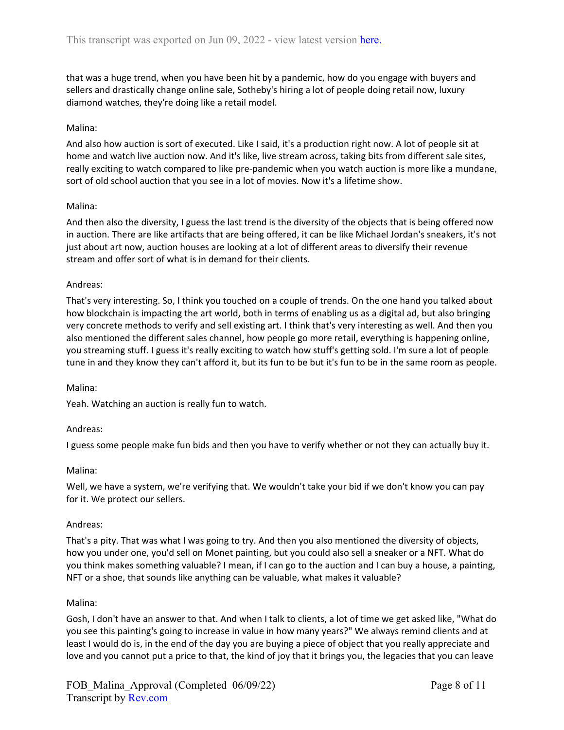that was a huge trend, when you have been hit by a pandemic, how do you engage with buyers and sellers and drastically change online sale, Sotheby's hiring a lot of people doing retail now, luxury diamond watches, they're doing like a retail model.

## Malina:

And also how auction is sort of executed. Like I said, it's a production right now. A lot of people sit at home and watch live auction now. And it's like, live stream across, taking bits from different sale sites, really exciting to watch compared to like pre-pandemic when you watch auction is more like a mundane, sort of old school auction that you see in a lot of movies. Now it's a lifetime show.

## Malina:

And then also the diversity, I guess the last trend is the diversity of the objects that is being offered now in auction. There are like artifacts that are being offered, it can be like Michael Jordan's sneakers, it's not just about art now, auction houses are looking at a lot of different areas to diversify their revenue stream and offer sort of what is in demand for their clients.

## Andreas:

That's very interesting. So, I think you touched on a couple of trends. On the one hand you talked about how blockchain is impacting the art world, both in terms of enabling us as a digital ad, but also bringing very concrete methods to verify and sell existing art. I think that's very interesting as well. And then you also mentioned the different sales channel, how people go more retail, everything is happening online, you streaming stuff. I guess it's really exciting to watch how stuff's getting sold. I'm sure a lot of people tune in and they know they can't afford it, but its fun to be but it's fun to be in the same room as people.

### Malina:

Yeah. Watching an auction is really fun to watch.

### Andreas:

I guess some people make fun bids and then you have to verify whether or not they can actually buy it.

### Malina:

Well, we have a system, we're verifying that. We wouldn't take your bid if we don't know you can pay for it. We protect our sellers.

### Andreas:

That's a pity. That was what I was going to try. And then you also mentioned the diversity of objects, how you under one, you'd sell on Monet painting, but you could also sell a sneaker or a NFT. What do you think makes something valuable? I mean, if I can go to the auction and I can buy a house, a painting, NFT or a shoe, that sounds like anything can be valuable, what makes it valuable?

### Malina:

Gosh, I don't have an answer to that. And when I talk to clients, a lot of time we get asked like, "What do you see this painting's going to increase in value in how many years?" We always remind clients and at least I would do is, in the end of the day you are buying a piece of object that you really appreciate and love and you cannot put a price to that, the kind of joy that it brings you, the legacies that you can leave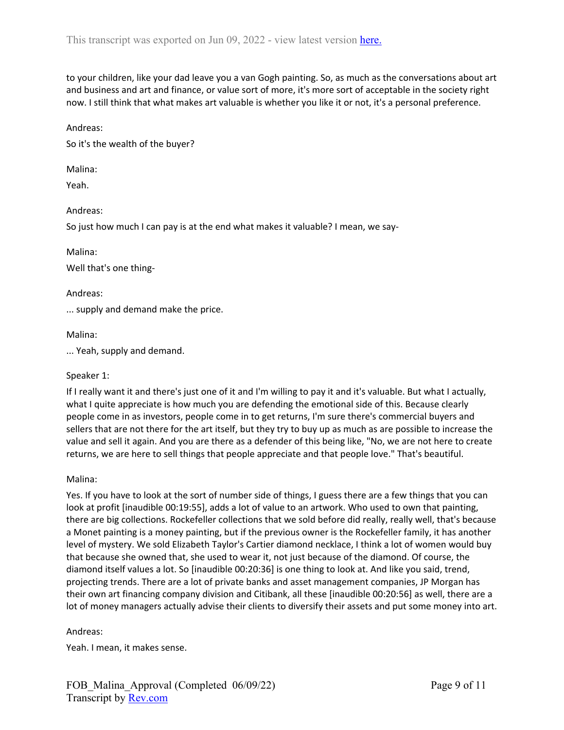to your children, like your dad leave you a van Gogh painting. So, as much as the conversations about art and business and art and finance, or value sort of more, it's more sort of acceptable in the society right now. I still think that what makes art valuable is whether you like it or not, it's a personal preference.

#### Andreas:

So it's the wealth of the buyer?

Malina:

Yeah.

#### Andreas:

So just how much I can pay is at the end what makes it valuable? I mean, we say-

Malina:

Well that's one thing-

#### Andreas:

... supply and demand make the price.

#### Malina:

... Yeah, supply and demand.

### Speaker 1:

If I really want it and there's just one of it and I'm willing to pay it and it's valuable. But what I actually, what I quite appreciate is how much you are defending the emotional side of this. Because clearly people come in as investors, people come in to get returns, I'm sure there's commercial buyers and sellers that are not there for the art itself, but they try to buy up as much as are possible to increase the value and sell it again. And you are there as a defender of this being like, "No, we are not here to create returns, we are here to sell things that people appreciate and that people love." That's beautiful.

### Malina:

Yes. If you have to look at the sort of number side of things, I guess there are a few things that you can look at profit [inaudible 00:19:55], adds a lot of value to an artwork. Who used to own that painting, there are big collections. Rockefeller collections that we sold before did really, really well, that's because a Monet painting is a money painting, but if the previous owner is the Rockefeller family, it has another level of mystery. We sold Elizabeth Taylor's Cartier diamond necklace, I think a lot of women would buy that because she owned that, she used to wear it, not just because of the diamond. Of course, the diamond itself values a lot. So [inaudible 00:20:36] is one thing to look at. And like you said, trend, projecting trends. There are a lot of private banks and asset management companies, JP Morgan has their own art financing company division and Citibank, all these [inaudible 00:20:56] as well, there are a lot of money managers actually advise their clients to diversify their assets and put some money into art.

#### Andreas:

Yeah. I mean, it makes sense.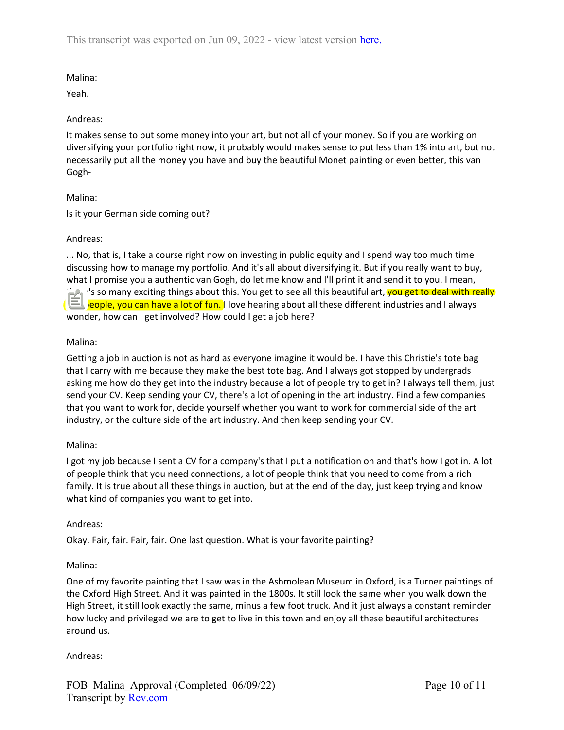# Malina:

Yeah.

## Andreas:

It makes sense to put some money into your art, but not all of your money. So if you are working on diversifying your portfolio right now, it probably would makes sense to put less than 1% into art, but not necessarily put all the money you have and buy the beautiful Monet painting or even better, this van Gogh-

# Malina:

Is it your German side coming out?

# Andreas:

... No, that is, I take a course right now on investing in public equity and I spend way too much time discussing how to manage my portfolio. And it's all about diversifying it. But if you really want to buy, what I promise you a authentic van Gogh, do let me know and I'll print it and send it to you. I mean, there's so many exciting things about this. You get to see all this beautiful art, you get to deal with really rich people, you can have a lot of fun. I love hearing about all these different industries and I always wonder, how can I get involved? How could I get a job here?

# Malina:

Getting a job in auction is not as hard as everyone imagine it would be. I have this Christie's tote bag that I carry with me because they make the best tote bag. And I always got stopped by undergrads asking me how do they get into the industry because a lot of people try to get in? I always tell them, just send your CV. Keep sending your CV, there's a lot of opening in the art industry. Find a few companies that you want to work for, decide yourself whether you want to work for commercial side of the art industry, or the culture side of the art industry. And then keep sending your CV.

# Malina:

I got my job because I sent a CV for a company's that I put a notification on and that's how I got in. A lot of people think that you need connections, a lot of people think that you need to come from a rich family. It is true about all these things in auction, but at the end of the day, just keep trying and know what kind of companies you want to get into.

# Andreas:

Okay. Fair, fair. Fair, fair. One last question. What is your favorite painting?

# Malina:

One of my favorite painting that I saw was in the Ashmolean Museum in Oxford, is a Turner paintings of the Oxford High Street. And it was painted in the 1800s. It still look the same when you walk down the High Street, it still look exactly the same, minus a few foot truck. And it just always a constant reminder how lucky and privileged we are to get to live in this town and enjoy all these beautiful architectures around us.

## Andreas: